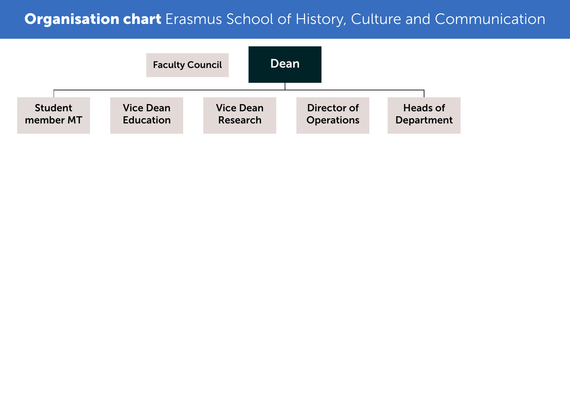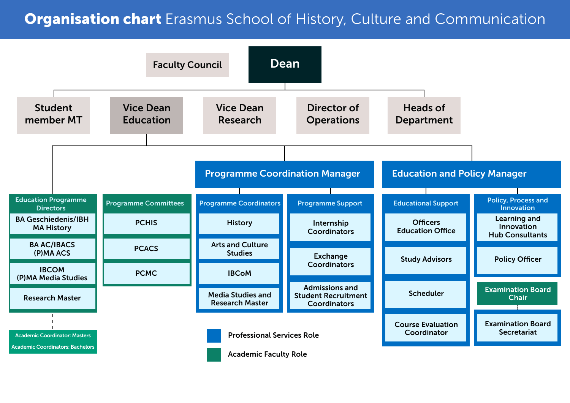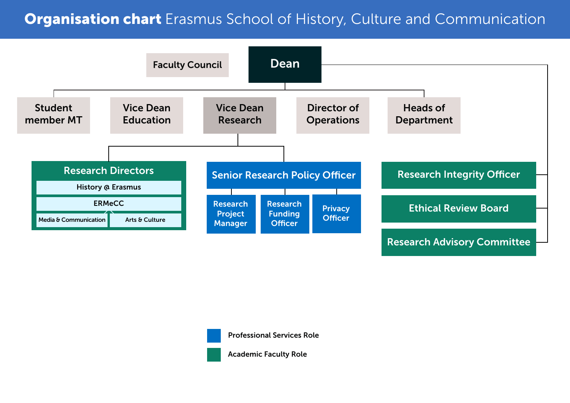



Professional Services Role

Academic Faculty Role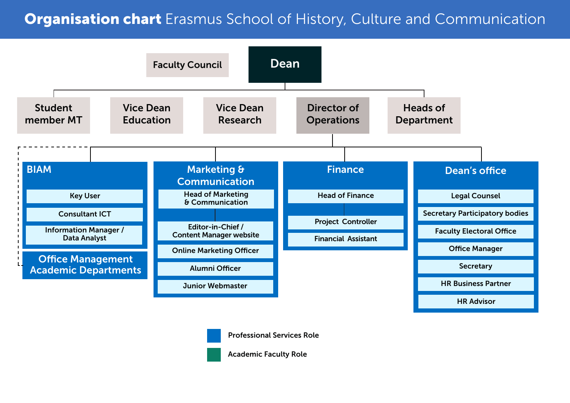



Professional Services Role

Academic Faculty Role